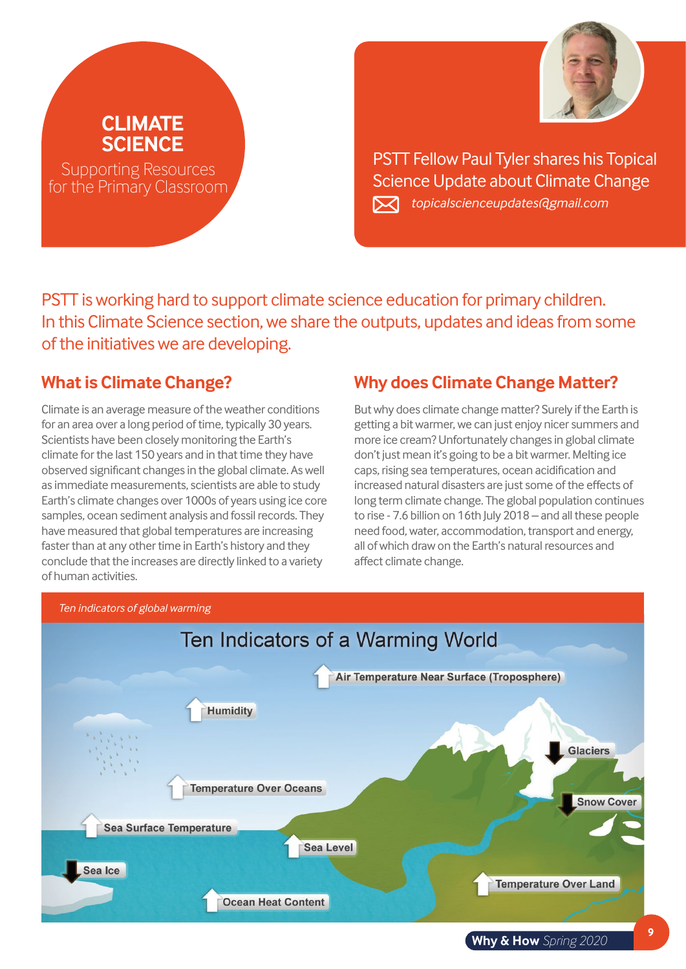

PSTT Fellow Paul Tyler shares his Topical Science Update about Climate Change *topicalscienceupdates@gmail.com*

PSTT is working hard to support climate science education for primary children. In this Climate Science section, we share the outputs, updates and ideas from some of the initiatives we are developing.

### **What is Climate Change?**

**CLIMATE SCIENCE**

Supporting Resources for the Primary Classroom

Climate is an average measure of the weather conditions for an area over a long period of time, typically 30 years. Scientists have been closely monitoring the Earth's climate for the last 150 years and in that time they have observed significant changes in the global climate. As well as immediate measurements, scientists are able to study Earth's climate changes over 1000s of years using ice core samples, ocean sediment analysis and fossil records. They have measured that global temperatures are increasing faster than at any other time in Earth's history and they conclude that the increases are directly linked to a variety of human activities.

### **Why does Climate Change Matter?**

But why does climate change matter? Surely if the Earth is getting a bit warmer, we can just enjoy nicer summers and more ice cream? Unfortunately changes in global climate don't just mean it's going to be a bit warmer. Melting ice caps, rising sea temperatures, ocean acidification and increased natural disasters are just some of the effects of long term climate change. The global population continues to rise - 7.6 billion on 16th July 2018 – and all these people need food, water, accommodation, transport and energy, all of which draw on the Earth's natural resources and affect climate change.



**<sup>9</sup> Why & How** *Spring 2020*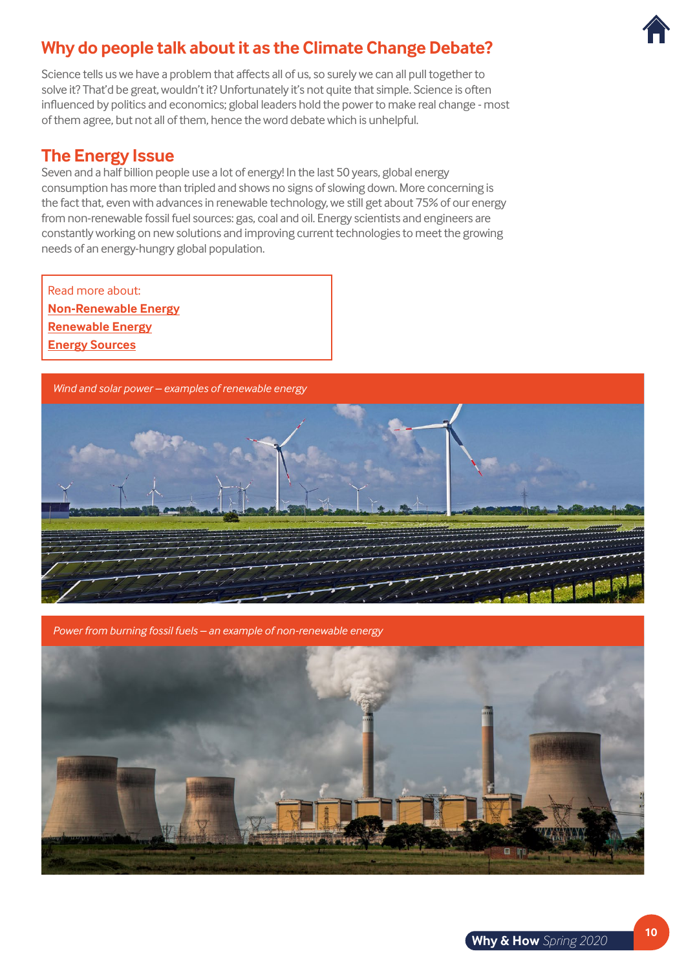# **Why do people talk about it as the Climate Change Debate?**

Science tells us we have a problem that affects all of us, so surely we can all pull together to solve it? That'd be great, wouldn't it? Unfortunately it's not quite that simple. Science is often influenced by politics and economics; global leaders hold the power to make real change - most of them agree, but not all of them, hence the word debate which is unhelpful.

#### **The Energy Issue**

Seven and a half billion people use a lot of energy! In the last 50 years, global energy consumption has more than tripled and shows no signs of slowing down. More concerning is the fact that, even with advances in renewable technology, we still get about 75% of our energy from non-renewable fossil fuel sources: gas, coal and oil. Energy scientists and engineers are constantly working on new solutions and improving current technologies to meet the growing needs of an energy-hungry global population.

Read more about: **[Non-Renewable Energy](https://www.youtube.com/watch?v=zaXBVYr9Ij0) [Renewable Energy](https://www.youtube.com/watch?v=1kUE0BZtTRc) [Energy Sources](https://www.bbc.co.uk/bitesize/topics/zp22pv4/articles/ztxwqty)**

*Wind and solar power – examples of renewable energy*



*Power from burning fossil fuels – an example of non-renewable energy*